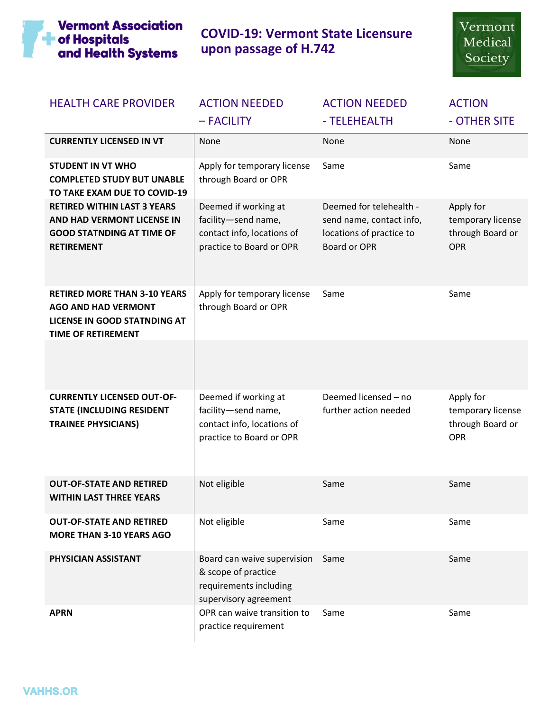

 **COVID-19: Vermont State Licensure upon passage of H.742**

| <b>HEALTH CARE PROVIDER</b>                                                                                                           | <b>ACTION NEEDED</b><br>- FACILITY                                                                    | <b>ACTION NEEDED</b><br>- TELEHEALTH                                                            | <b>ACTION</b><br>- OTHER SITE                                    |
|---------------------------------------------------------------------------------------------------------------------------------------|-------------------------------------------------------------------------------------------------------|-------------------------------------------------------------------------------------------------|------------------------------------------------------------------|
| <b>CURRENTLY LICENSED IN VT</b>                                                                                                       | None                                                                                                  | None                                                                                            | None                                                             |
| <b>STUDENT IN VT WHO</b><br><b>COMPLETED STUDY BUT UNABLE</b><br>TO TAKE EXAM DUE TO COVID-19                                         | Apply for temporary license<br>through Board or OPR                                                   | Same                                                                                            | Same                                                             |
| <b>RETIRED WITHIN LAST 3 YEARS</b><br>AND HAD VERMONT LICENSE IN<br><b>GOOD STATNDING AT TIME OF</b><br><b>RETIREMENT</b>             | Deemed if working at<br>facility-send name,<br>contact info, locations of<br>practice to Board or OPR | Deemed for telehealth -<br>send name, contact info,<br>locations of practice to<br>Board or OPR | Apply for<br>temporary license<br>through Board or<br>OPR        |
| <b>RETIRED MORE THAN 3-10 YEARS</b><br><b>AGO AND HAD VERMONT</b><br><b>LICENSE IN GOOD STATNDING AT</b><br><b>TIME OF RETIREMENT</b> | Apply for temporary license<br>through Board or OPR                                                   | Same                                                                                            | Same                                                             |
|                                                                                                                                       |                                                                                                       |                                                                                                 |                                                                  |
| <b>CURRENTLY LICENSED OUT-OF-</b><br><b>STATE (INCLUDING RESIDENT</b><br><b>TRAINEE PHYSICIANS)</b>                                   | Deemed if working at<br>facility-send name,<br>contact info, locations of<br>practice to Board or OPR | Deemed licensed - no<br>further action needed                                                   | Apply for<br>temporary license<br>through Board or<br><b>OPR</b> |
| <b>OUT-OF-STATE AND RETIRED</b><br><b>WITHIN LAST THREE YEARS</b>                                                                     | Not eligible                                                                                          | Same                                                                                            | Same                                                             |
| <b>OUT-OF-STATE AND RETIRED</b><br><b>MORE THAN 3-10 YEARS AGO</b>                                                                    | Not eligible                                                                                          | Same                                                                                            | Same                                                             |
| PHYSICIAN ASSISTANT                                                                                                                   | Board can waive supervision<br>& scope of practice<br>requirements including<br>supervisory agreement | Same                                                                                            | Same                                                             |
| <b>APRN</b>                                                                                                                           | OPR can waive transition to<br>practice requirement                                                   | Same                                                                                            | Same                                                             |